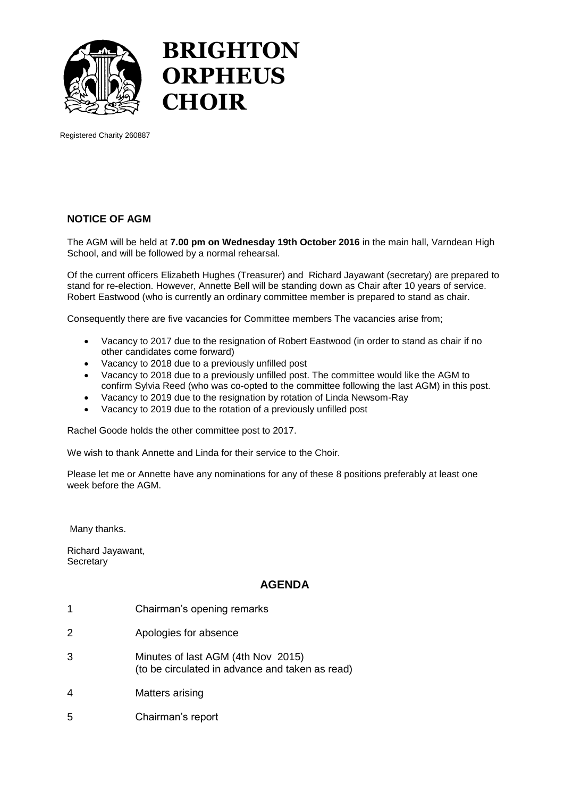

## **BRIGHTON ORPHEUS CHOIR**

Registered Charity 260887

## **NOTICE OF AGM**

The AGM will be held at **7.00 pm on Wednesday 19th October 2016** in the main hall, Varndean High School, and will be followed by a normal rehearsal.

Of the current officers Elizabeth Hughes (Treasurer) and Richard Jayawant (secretary) are prepared to stand for re-election. However, Annette Bell will be standing down as Chair after 10 years of service. Robert Eastwood (who is currently an ordinary committee member is prepared to stand as chair.

Consequently there are five vacancies for Committee members The vacancies arise from;

- Vacancy to 2017 due to the resignation of Robert Eastwood (in order to stand as chair if no other candidates come forward)
- Vacancy to 2018 due to a previously unfilled post
- Vacancy to 2018 due to a previously unfilled post. The committee would like the AGM to confirm Sylvia Reed (who was co-opted to the committee following the last AGM) in this post.
- Vacancy to 2019 due to the resignation by rotation of Linda Newsom-Ray
- Vacancy to 2019 due to the rotation of a previously unfilled post

Rachel Goode holds the other committee post to 2017.

We wish to thank Annette and Linda for their service to the Choir.

Please let me or Annette have any nominations for any of these 8 positions preferably at least one week before the AGM.

Many thanks.

Richard Jayawant, **Secretary** 

## **AGENDA**

- 1 Chairman's opening remarks
- 2 Apologies for absence
- 3 Minutes of last AGM (4th Nov 2015) (to be circulated in advance and taken as read)
- 4 Matters arising
- 5 Chairman's report